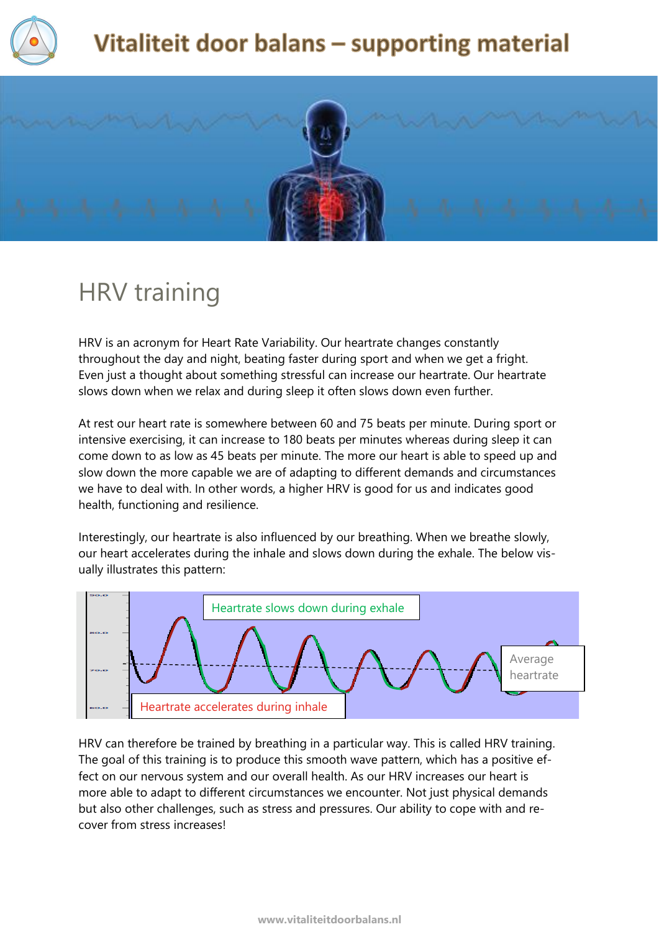

# Vitaliteit door balans - supporting material



# HRV training

HRV is an acronym for Heart Rate Variability. Our heartrate changes constantly throughout the day and night, beating faster during sport and when we get a fright. Even just a thought about something stressful can increase our heartrate. Our heartrate slows down when we relax and during sleep it often slows down even further.

At rest our heart rate is somewhere between 60 and 75 beats per minute. During sport or intensive exercising, it can increase to 180 beats per minutes whereas during sleep it can come down to as low as 45 beats per minute. The more our heart is able to speed up and slow down the more capable we are of adapting to different demands and circumstances we have to deal with. In other words, a higher HRV is good for us and indicates good health, functioning and resilience.

Interestingly, our heartrate is also influenced by our breathing. When we breathe slowly, our heart accelerates during the inhale and slows down during the exhale. The below visually illustrates this pattern:



HRV can therefore be trained by breathing in a particular way. This is called HRV training. The goal of this training is to produce this smooth wave pattern, which has a positive effect on our nervous system and our overall health. As our HRV increases our heart is more able to adapt to different circumstances we encounter. Not just physical demands but also other challenges, such as stress and pressures. Our ability to cope with and recover from stress increases!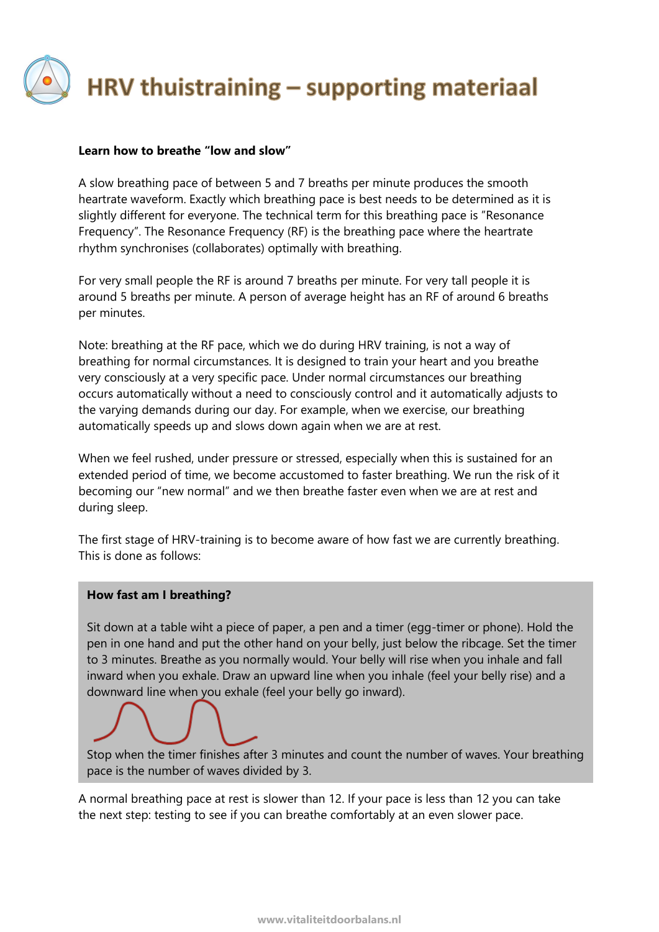

### **Learn how to breathe "low and slow"**

A slow breathing pace of between 5 and 7 breaths per minute produces the smooth heartrate waveform. Exactly which breathing pace is best needs to be determined as it is slightly different for everyone. The technical term for this breathing pace is "Resonance Frequency". The Resonance Frequency (RF) is the breathing pace where the heartrate rhythm synchronises (collaborates) optimally with breathing.

For very small people the RF is around 7 breaths per minute. For very tall people it is around 5 breaths per minute. A person of average height has an RF of around 6 breaths per minutes.

Note: breathing at the RF pace, which we do during HRV training, is not a way of breathing for normal circumstances. It is designed to train your heart and you breathe very consciously at a very specific pace. Under normal circumstances our breathing occurs automatically without a need to consciously control and it automatically adjusts to the varying demands during our day. For example, when we exercise, our breathing automatically speeds up and slows down again when we are at rest.

When we feel rushed, under pressure or stressed, especially when this is sustained for an extended period of time, we become accustomed to faster breathing. We run the risk of it becoming our "new normal" and we then breathe faster even when we are at rest and during sleep.

The first stage of HRV-training is to become aware of how fast we are currently breathing. This is done as follows:

#### **How fast am I breathing?**

Sit down at a table wiht a piece of paper, a pen and a timer (egg-timer or phone). Hold the pen in one hand and put the other hand on your belly, just below the ribcage. Set the timer to 3 minutes. Breathe as you normally would. Your belly will rise when you inhale and fall inward when you exhale. Draw an upward line when you inhale (feel your belly rise) and a downward line when you exhale (feel your belly go inward).

Stop when the timer finishes after 3 minutes and count the number of waves. Your breathing pace is the number of waves divided by 3.

A normal breathing pace at rest is slower than 12. If your pace is less than 12 you can take the next step: testing to see if you can breathe comfortably at an even slower pace.

demen in een langzaam tempo lukt alleen wanneer er aan een aantal voorwaarden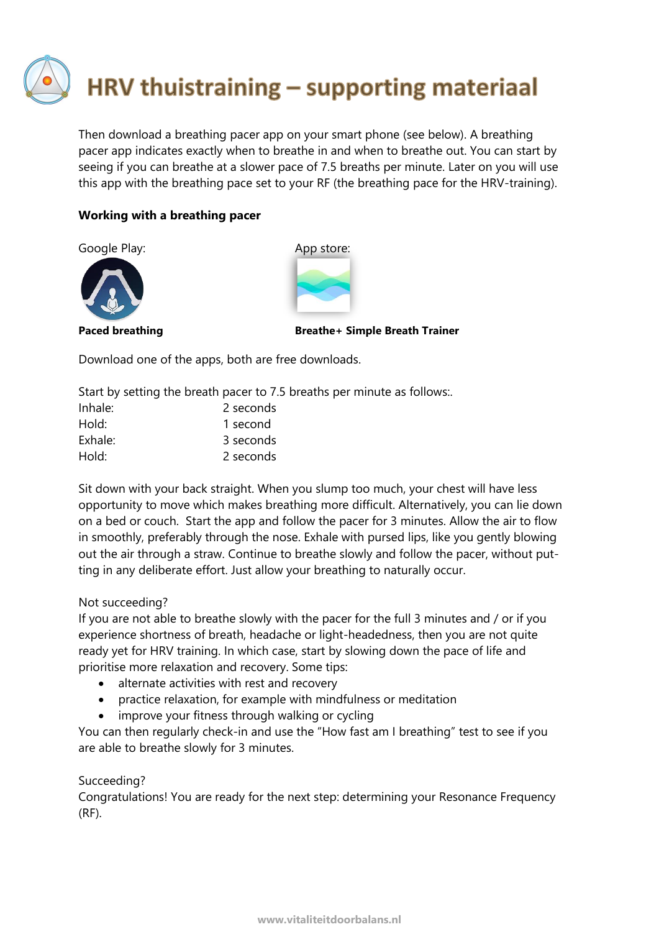# HRV thuistraining - supporting materiaal

Then download a breathing pacer app on your smart phone (see below). A breathing pacer app indicates exactly when to breathe in and when to breathe out. You can start by seeing if you can breathe at a slower pace of 7.5 breaths per minute. Later on you will use this app with the breathing pace set to your RF (the breathing pace for the HRV-training).

## **Working with a breathing pacer**

Google Play: App store:





Paced breathing **Breathet Simple Breath Trainer** 

Download one of the apps, both are free downloads.

Start by setting the breath pacer to 7.5 breaths per minute as follows:.

| Inhale: | 2 seconds |
|---------|-----------|
| Hold:   | 1 second  |
| Exhale: | 3 seconds |
| Hold:   | 2 seconds |

Sit down with your back straight. When you slump too much, your chest will have less opportunity to move which makes breathing more difficult. Alternatively, you can lie down on a bed or couch. Start the app and follow the pacer for 3 minutes. Allow the air to flow in smoothly, preferably through the nose. Exhale with pursed lips, like you gently blowing out the air through a straw. Continue to breathe slowly and follow the pacer, without putting in any deliberate effort. Just allow your breathing to naturally occur.

## Not succeeding?

If you are not able to breathe slowly with the pacer for the full 3 minutes and / or if you experience shortness of breath, headache or light-headedness, then you are not quite ready yet for HRV training. In which case, start by slowing down the pace of life and prioritise more relaxation and recovery. Some tips:

- alternate activities with rest and recovery
- practice relaxation, for example with mindfulness or meditation
- improve your fitness through walking or cycling

You can then regularly check-in and use the "How fast am I breathing" test to see if you are able to breathe slowly for 3 minutes.

## Succeeding?

Congratulations! You are ready for the next step: determining your Resonance Frequency (RF).